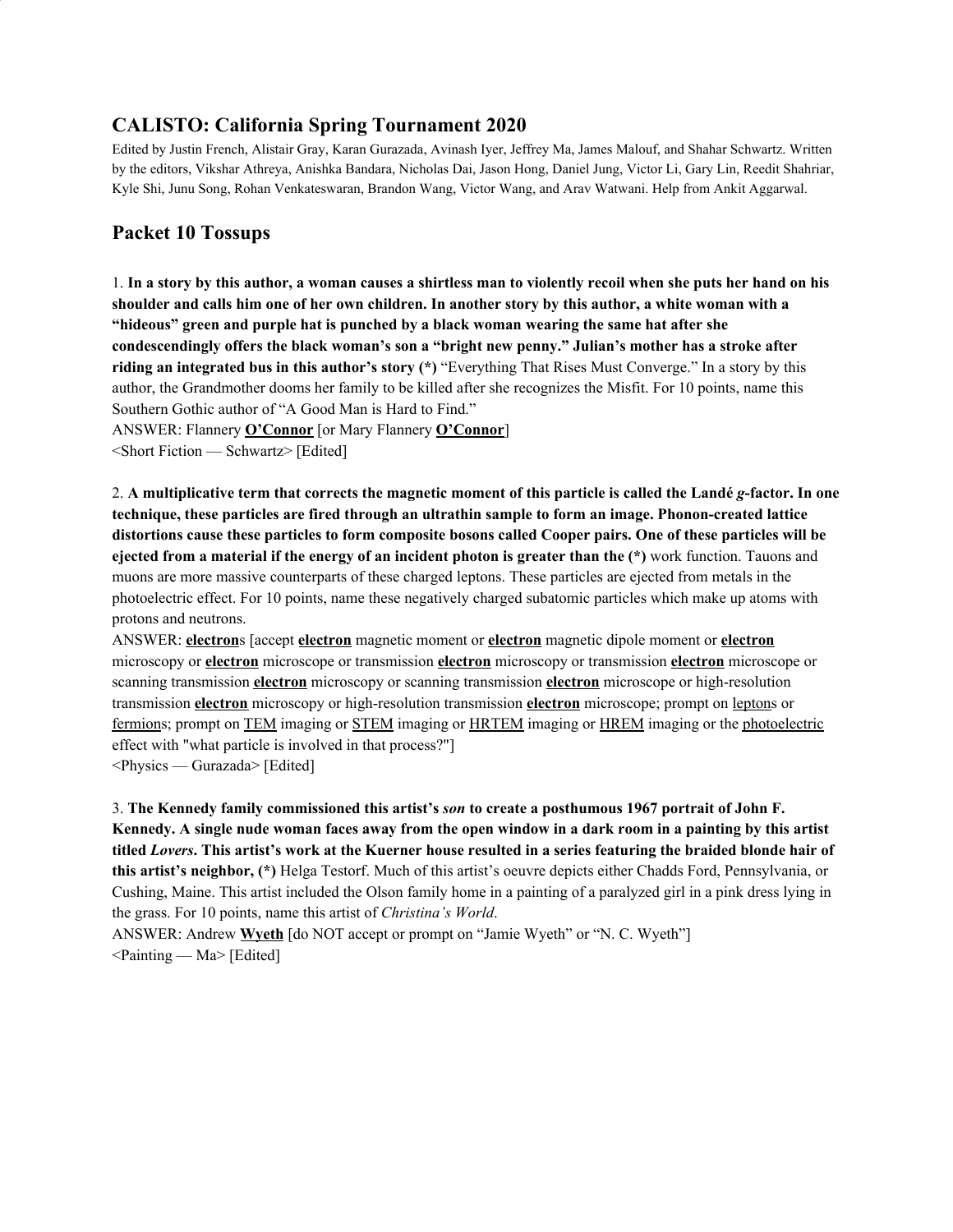# **CALISTO: California Spring Tournament 2020**

Edited by Justin French, Alistair Gray, Karan Gurazada, Avinash Iyer, Jeffrey Ma, James Malouf, and Shahar Schwartz. Written by the editors, Vikshar Athreya, Anishka Bandara, Nicholas Dai, Jason Hong, Daniel Jung, Victor Li, Gary Lin, Reedit Shahriar, Kyle Shi, Junu Song, Rohan Venkateswaran, Brandon Wang, Victor Wang, and Arav Watwani. Help from Ankit Aggarwal.

# **Packet 10 Tossups**

1. In a story by this author, a woman causes a shirtless man to violently recoil when she puts her hand on his shoulder and calls him one of her own children. In another story by this author, a white woman with a **"hideous" green and purple hat is punched by a black woman wearing the same hat after she condescendingly offers the black woman's son a "bright new penny." Julian's mother has a stroke after riding an integrated bus in this author's story (\*)** "Everything That Rises Must Converge." In a story by this author, the Grandmother dooms her family to be killed after she recognizes the Misfit. For 10 points, name this Southern Gothic author of "A Good Man is Hard to Find."

ANSWER: Flannery **O'Connor** [or Mary Flannery **O'Connor**]

<Short Fiction — Schwartz> [Edited]

2. A multiplicative term that corrects the magnetic moment of this particle is called the Landé g-factor. In one **technique, these particles are fired through an ultrathin sample to form an image. Phonon-created lattice** distortions cause these particles to form composite bosons called Cooper pairs. One of these particles will be **ejected from a material if the energy of an incident photon is greater than the (\*)** work function. Tauons and muons are more massive counterparts of these charged leptons. These particles are ejected from metals in the photoelectric effect. For 10 points, name these negatively charged subatomic particles which make up atoms with protons and neutrons.

ANSWER: **electron**s [accept **electron** magnetic moment or **electron** magnetic dipole moment or **electron** microscopy or **electron** microscope or transmission **electron** microscopy or transmission **electron** microscope or scanning transmission **electron** microscopy or scanning transmission **electron** microscope or high-resolution transmission **electron** microscopy or high-resolution transmission **electron** microscope; prompt on leptons or fermions; prompt on TEM imaging or STEM imaging or HRTEM imaging or HREM imaging or the photoelectric effect with "what particle is involved in that process?"]

<Physics — Gurazada> [Edited]

3. **The Kennedy family commissioned this artist's** *son* **to create a posthumous 1967 portrait of John F.** Kennedy. A single nude woman faces away from the open window in a dark room in a painting by this artist titled Lovers. This artist's work at the Kuerner house resulted in a series featuring the braided blonde hair of **this artist's neighbor, (\*)** Helga Testorf. Much of this artist's oeuvre depicts either Chadds Ford, Pennsylvania, or Cushing, Maine. This artist included the Olson family home in a painting of a paralyzed girl in a pink dress lying in the grass. For 10 points, name this artist of *Christina's World*.

ANSWER: Andrew Wyeth [do NOT accept or prompt on "Jamie Wyeth" or "N. C. Wyeth"]  $\leq$ Painting — Ma $>$  [Edited]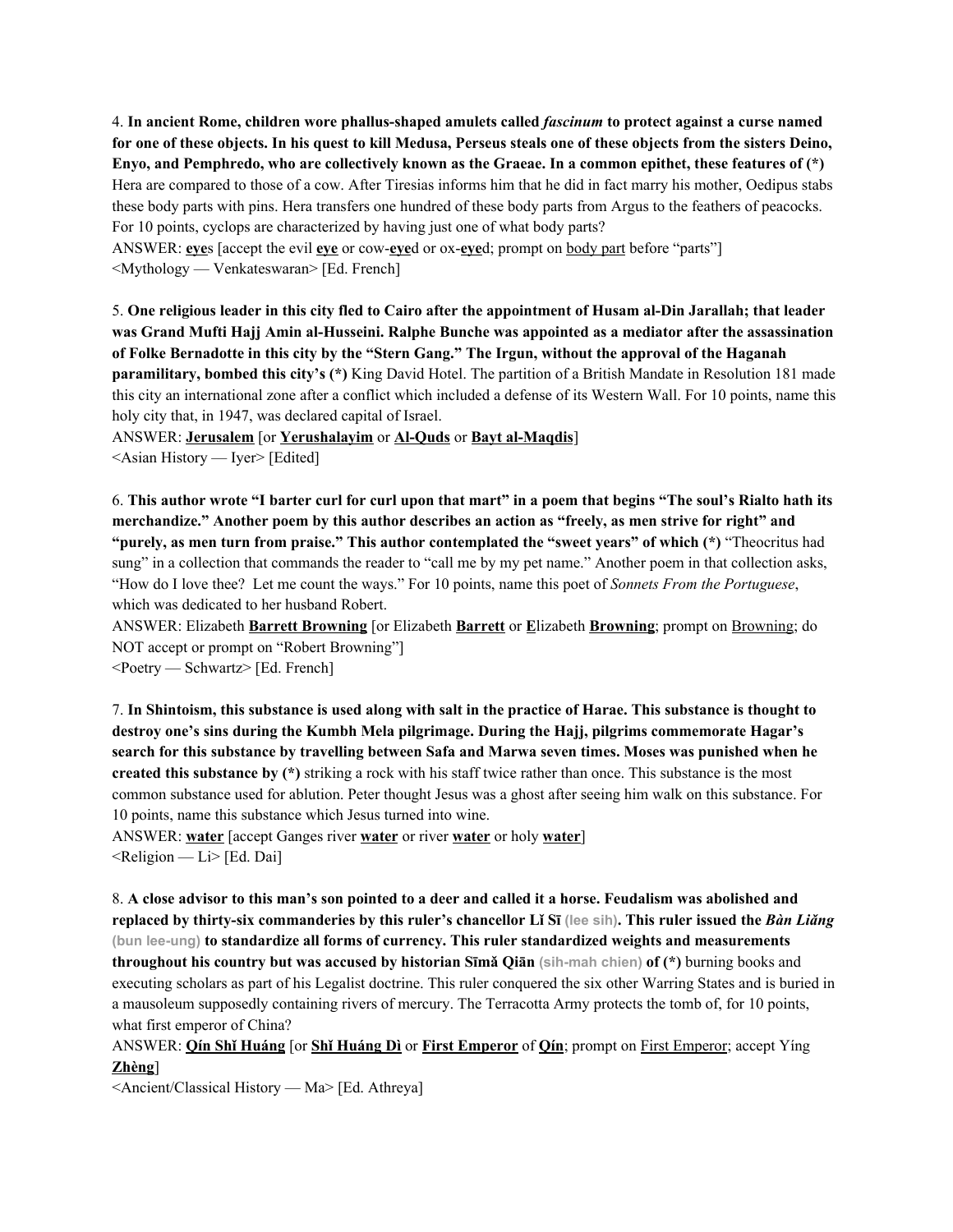4. **In ancient Rome, children wore phallus-shaped amulets called** *fascinum* **to protect against a curse named** for one of these objects. In his quest to kill Medusa, Perseus steals one of these objects from the sisters Deino, Envo, and Pemphredo, who are collectively known as the Graeae. In a common epithet, these features of (\*) Hera are compared to those of a cow. After Tiresias informs him that he did in fact marry his mother, Oedipus stabs these body parts with pins. Hera transfers one hundred of these body parts from Argus to the feathers of peacocks. For 10 points, cyclops are characterized by having just one of what body parts? ANSWER: **eye**s [accept the evil **eye** or cow-**eye**d or ox-**eye**d; prompt on body part before "parts"]

<Mythology — Venkateswaran> [Ed. French]

5. One religious leader in this city fled to Cairo after the appointment of Husam al-Din Jarallah; that leader **was Grand Mufti Hajj Amin al-Husseini. Ralphe Bunche was appointed as a mediator after the assassination** of Folke Bernadotte in this city by the "Stern Gang." The Irgun, without the approval of the Haganah **paramilitary, bombed this city's (\*)** King David Hotel. The partition of a British Mandate in Resolution 181 made this city an international zone after a conflict which included a defense of its Western Wall. For 10 points, name this holy city that, in 1947, was declared capital of Israel.

ANSWER: **Jerusalem** [or **Yerushalayim** or **Al-Quds** or **Bayt al-Maqdis**] <Asian History — Iyer> [Edited]

6. This author wrote "I barter curl for curl upon that mart" in a poem that begins "The soul's Rialto hath its **merchandize." Another poem by this author describes an action as "freely, as men strive for right" and "purely, as men turn from praise." This author contemplated the "sweet years" of which (\*)** "Theocritus had sung" in a collection that commands the reader to "call me by my pet name." Another poem in that collection asks, "How do I love thee? Let me count the ways." For 10 points, name this poet of *Sonnets From the Portuguese*, which was dedicated to her husband Robert.

ANSWER: Elizabeth **Barrett Browning** [or Elizabeth **Barrett** or **E**lizabeth **Browning**; prompt on Browning; do NOT accept or prompt on "Robert Browning"]

<Poetry — Schwartz> [Ed. French]

7. In Shintoism, this substance is used along with salt in the practice of Harae. This substance is thought to **destroy one's sins during the Kumbh Mela pilgrimage. During the Hajj, pilgrims commemorate Hagar's search for this substance by travelling between Safa and Marwa seven times. Moses was punished when he created this substance by (\*)** striking a rock with his staff twice rather than once. This substance is the most common substance used for ablution. Peter thought Jesus was a ghost after seeing him walk on this substance. For 10 points, name this substance which Jesus turned into wine.

ANSWER: **water** [accept Ganges river **water** or river **water** or holy **water**]  $\leq$ Religion — Li $\geq$  [Ed. Dai]

8. A close advisor to this man's son pointed to a deer and called it a horse. Feudalism was abolished and replaced by thirty-six commanderies by this ruler's chancellor Li Sī (lee sih). This ruler issued the Bàn Liăng **(bun lee-ung) to standardize all forms of currency. This ruler standardized weights and measurements throughout his country but was accused by historian Sīmǎ Qiān (sih-mah chien) of (\*)** burning books and executing scholars as part of his Legalist doctrine. This ruler conquered the six other Warring States and is buried in a mausoleum supposedly containing rivers of mercury. The Terracotta Army protects the tomb of, for 10 points, what first emperor of China?

ANSWER: **Qín Shǐ Huáng** [or **Shǐ Huáng Dì** or **First Emperor** of **Qín**; prompt on First Emperor; accept Yíng **Zhèng**]

<Ancient/Classical History — Ma> [Ed. Athreya]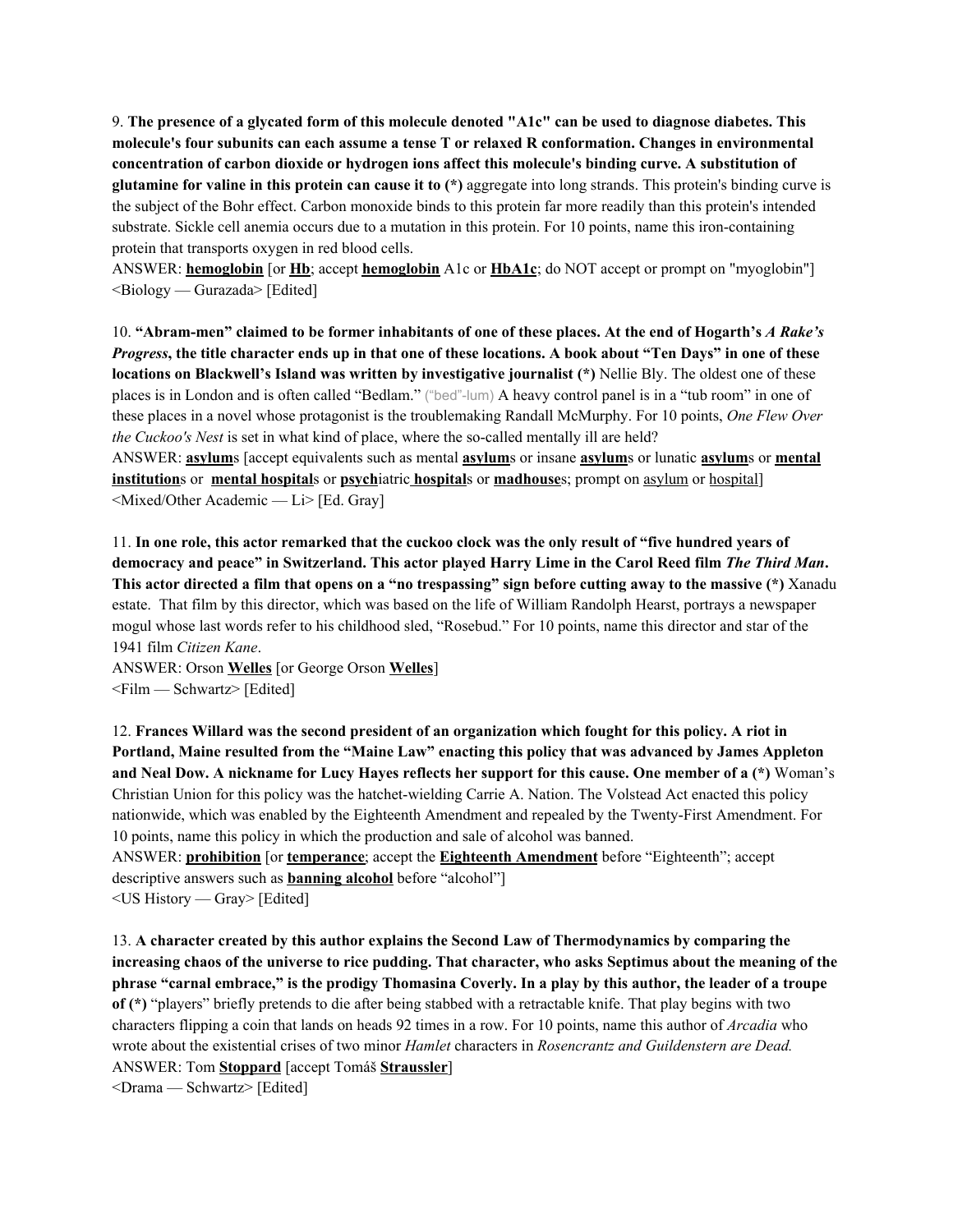9. The presence of a glycated form of this molecule denoted "A1c" can be used to diagnose diabetes. This **molecule's four subunits can each assume a tense T or relaxed R conformation. Changes in environmental concentration of carbon dioxide or hydrogen ions affect this molecule's binding curve. A substitution of glutamine for valine in this protein can cause it to (\*)** aggregate into long strands. This protein's binding curve is the subject of the Bohr effect. Carbon monoxide binds to this protein far more readily than this protein's intended substrate. Sickle cell anemia occurs due to a mutation in this protein. For 10 points, name this iron-containing protein that transports oxygen in red blood cells.

ANSWER: **hemoglobin** [or **Hb**; accept **hemoglobin** A1c or **HbA1c**; do NOT accept or prompt on "myoglobin"] <Biology — Gurazada> [Edited]

10. "Abram-men" claimed to be former inhabitants of one of these places. At the end of Hogarth's A Rake's *Progress*, the title character ends up in that one of these locations. A book about "Ten Days" in one of these **locations on Blackwell's Island was written by investigative journalist (\*)** Nellie Bly. The oldest one of these places is in London and is often called "Bedlam." ("bed"-lum) A heavy control panel is in a "tub room" in one of these places in a novel whose protagonist is the troublemaking Randall McMurphy. For 10 points, *One Flew Over the Cuckoo's Nest* is set in what kind of place, where the so-called mentally ill are held? ANSWER: **asylum**s [accept equivalents such as mental **asylum**s or insane **asylum**s or lunatic **asylum**s or **mental**

**institution**s or **mental hospital**s or **psych**iatric **hospital**s or **madhouse**s; prompt on asylum or hospital] <Mixed/Other Academic — Li> [Ed. Gray]

11. In one role, this actor remarked that the cuckoo clock was the only result of "five hundred years of democracy and peace" in Switzerland. This actor played Harry Lime in the Carol Reed film The Third Man. This actor directed a film that opens on a "no trespassing" sign before cutting away to the massive (\*) Xanadu estate. That film by this director, which was based on the life of William Randolph Hearst, portrays a newspaper mogul whose last words refer to his childhood sled, "Rosebud." For 10 points, name this director and star of the 1941 film *Citizen Kane*.

ANSWER: Orson **Welles** [or George Orson **Welles**] <Film — Schwartz> [Edited]

12. **Frances Willard was the second president of an organization which fought for this policy. A riot in Portland, Maine resulted from the "Maine Law" enacting this policy that was advanced by James Appleton** and Neal Dow. A nickname for Lucy Hayes reflects her support for this cause. One member of a (\*) Woman's Christian Union for this policy was the hatchet-wielding Carrie A. Nation. The Volstead Act enacted this policy nationwide, which was enabled by the Eighteenth Amendment and repealed by the Twenty-First Amendment. For 10 points, name this policy in which the production and sale of alcohol was banned.

ANSWER: **prohibition** [or **temperance**; accept the **Eighteenth Amendment** before "Eighteenth"; accept descriptive answers such as **banning alcohol** before "alcohol"] <US History — Gray> [Edited]

13. **A character created by this author explains the Second Law of Thermodynamics by comparing the** increasing chaos of the universe to rice pudding. That character, who asks Septimus about the meaning of the phrase "carnal embrace," is the prodigy Thomasina Coverly. In a play by this author, the leader of a troupe **of (\*)** "players" briefly pretends to die after being stabbed with a retractable knife. That play begins with two characters flipping a coin that lands on heads 92 times in a row. For 10 points, name this author of *Arcadia* who wrote about the existential crises of two minor *Hamlet* characters in *Rosencrantz and Guildenstern are Dead.* ANSWER: Tom **Stoppard** [accept Tomáš **Straussler**]

<Drama — Schwartz> [Edited]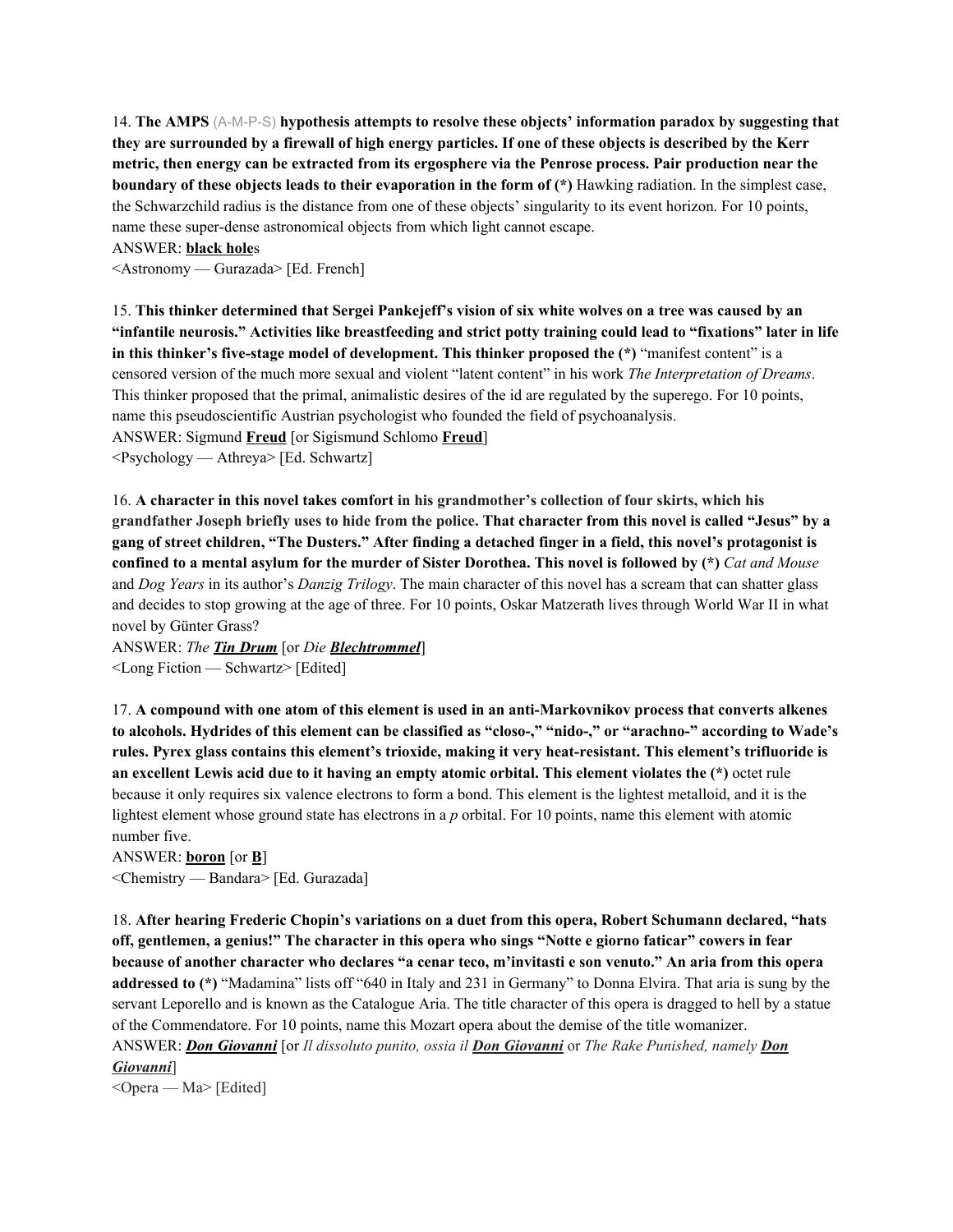14. **The AMPS** (A-M-P-S) **hypothesis attempts to resolve these objects' information paradox by suggesting that** they are surrounded by a firewall of high energy particles. If one of these objects is described by the Kerr metric, then energy can be extracted from its ergosphere via the Penrose process. Pair production near the **boundary of these objects leads to their evaporation in the form of (\*)** Hawking radiation. In the simplest case, the Schwarzchild radius is the distance from one of these objects' singularity to its event horizon. For 10 points, name these super-dense astronomical objects from which light cannot escape.

ANSWER: **black hole**s

<Astronomy — Gurazada> [Ed. French]

15. This thinker determined that Sergei Pankejeff's vision of six white wolves on a tree was caused by an "infantile neurosis." Activities like breastfeeding and strict potty training could lead to "fixations" later in life **in this thinker's five-stage model of development. This thinker proposed the (\*)** "manifest content" is a censored version of the much more sexual and violent "latent content" in his work *The Interpretation of Dreams*. This thinker proposed that the primal, animalistic desires of the id are regulated by the superego. For 10 points, name this pseudoscientific Austrian psychologist who founded the field of psychoanalysis.

ANSWER: Sigmund **Freud** [or Sigismund Schlomo **Freud**]

<Psychology — Athreya> [Ed. Schwartz]

16. **A character in this novel takes comfort in his grandmother's collection of four skirts, which his** grandfather Joseph briefly uses to hide from the police. That character from this novel is called "Jesus" by a gang of street children, "The Dusters." After finding a detached finger in a field, this novel's protagonist is confined to a mental asylum for the murder of Sister Dorothea. This novel is followed by  $(*)$  Cat and Mouse and *Dog Years* in its author's *Danzig Trilogy*. The main character of this novel has a scream that can shatter glass and decides to stop growing at the age of three. For 10 points, Oskar Matzerath lives through World War II in what novel by Günter Grass?

ANSWER: *The Tin Drum* [or *Die Blechtrommel*] <Long Fiction — Schwartz> [Edited]

17. **A compound with one atom of this element is used in an anti-Markovnikov process that converts alkenes** to alcohols. Hydrides of this element can be classified as "closo-," "nido-," or "arachno-" according to Wade's **rules. Pyrex glass contains this element's trioxide, making it very heat-resistant. This element's trifluoride is** an excellent Lewis acid due to it having an empty atomic orbital. This element violates the (\*) octet rule because it only requires six valence electrons to form a bond. This element is the lightest metalloid, and it is the lightest element whose ground state has electrons in a *p* orbital. For 10 points, name this element with atomic number five.

ANSWER: **boron** [or **B**] <Chemistry — Bandara> [Ed. Gurazada]

18. **After hearing Frederic Chopin's variations on a duet from this opera, Robert Schumann declared, "hats** off, gentlemen, a genius!" The character in this opera who sings "Notte e giorno faticar" cowers in fear because of another character who declares "a cenar teco, m'invitasti e son venuto." An aria from this opera **addressed to (\*)** "Madamina" lists off "640 in Italy and 231 in Germany" to Donna Elvira. That aria is sung by the servant Leporello and is known as the Catalogue Aria. The title character of this opera is dragged to hell by a statue of the Commendatore. For 10 points, name this Mozart opera about the demise of the title womanizer. ANSWER: *Don Giovanni* [or *Il dissoluto punito, ossia il Don Giovanni* or *The Rake Punished, namely Don Giovanni*]

<Opera — Ma> [Edited]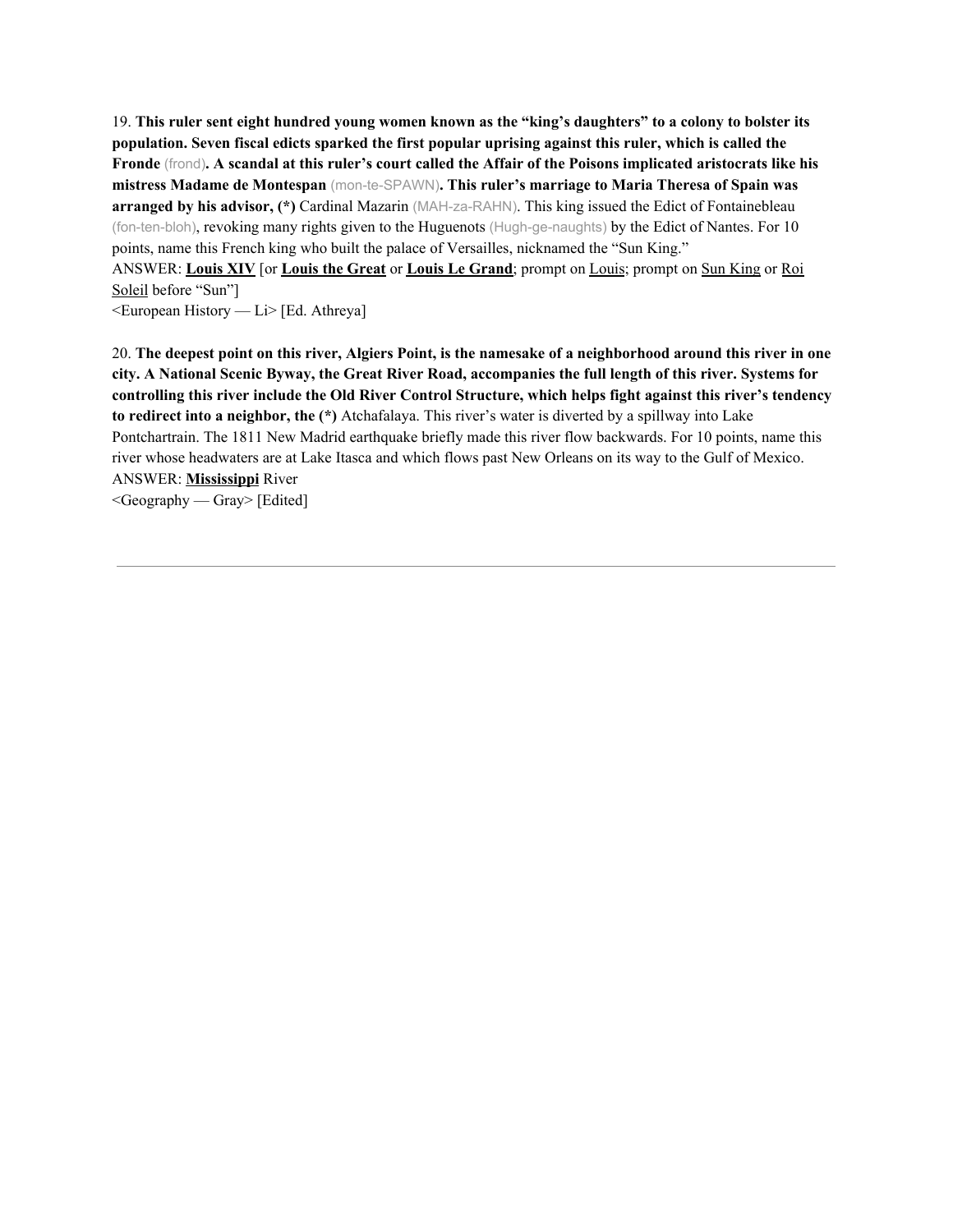19. This ruler sent eight hundred young women known as the "king's daughters" to a colony to bolster its **population. Seven fiscal edicts sparked the first popular uprising against this ruler, which is called the** Fronde (frond). A scandal at this ruler's court called the Affair of the Poisons implicated aristocrats like his **mistress Madame de Montespan** (mon-te-SPAWN)**. This ruler's marriage to Maria Theresa of Spain was arranged by his advisor, (\*)** Cardinal Mazarin (MAH-za-RAHN). This king issued the Edict of Fontainebleau (fon-ten-bloh), revoking many rights given to the Huguenots (Hugh-ge-naughts) by the Edict of Nantes. For 10 points, name this French king who built the palace of Versailles, nicknamed the "Sun King."

ANSWER: **Louis XIV** [or **Louis the Great** or **Louis Le Grand**; prompt on Louis; prompt on Sun King or Roi Soleil before "Sun"]

 $\leq$ European History — Li $>$  [Ed. Athreya]

20. The deepest point on this river, Algiers Point, is the namesake of a neighborhood around this river in one city. A National Scenic Byway, the Great River Road, accompanies the full length of this river. Systems for **controlling this river include the Old River Control Structure, which helps fight against this river's tendency to redirect into a neighbor, the (\*)** Atchafalaya. This river's water is diverted by a spillway into Lake Pontchartrain. The 1811 New Madrid earthquake briefly made this river flow backwards. For 10 points, name this river whose headwaters are at Lake Itasca and which flows past New Orleans on its way to the Gulf of Mexico. ANSWER: **Mississippi** River  $\leq$ Geography — Gray> [Edited]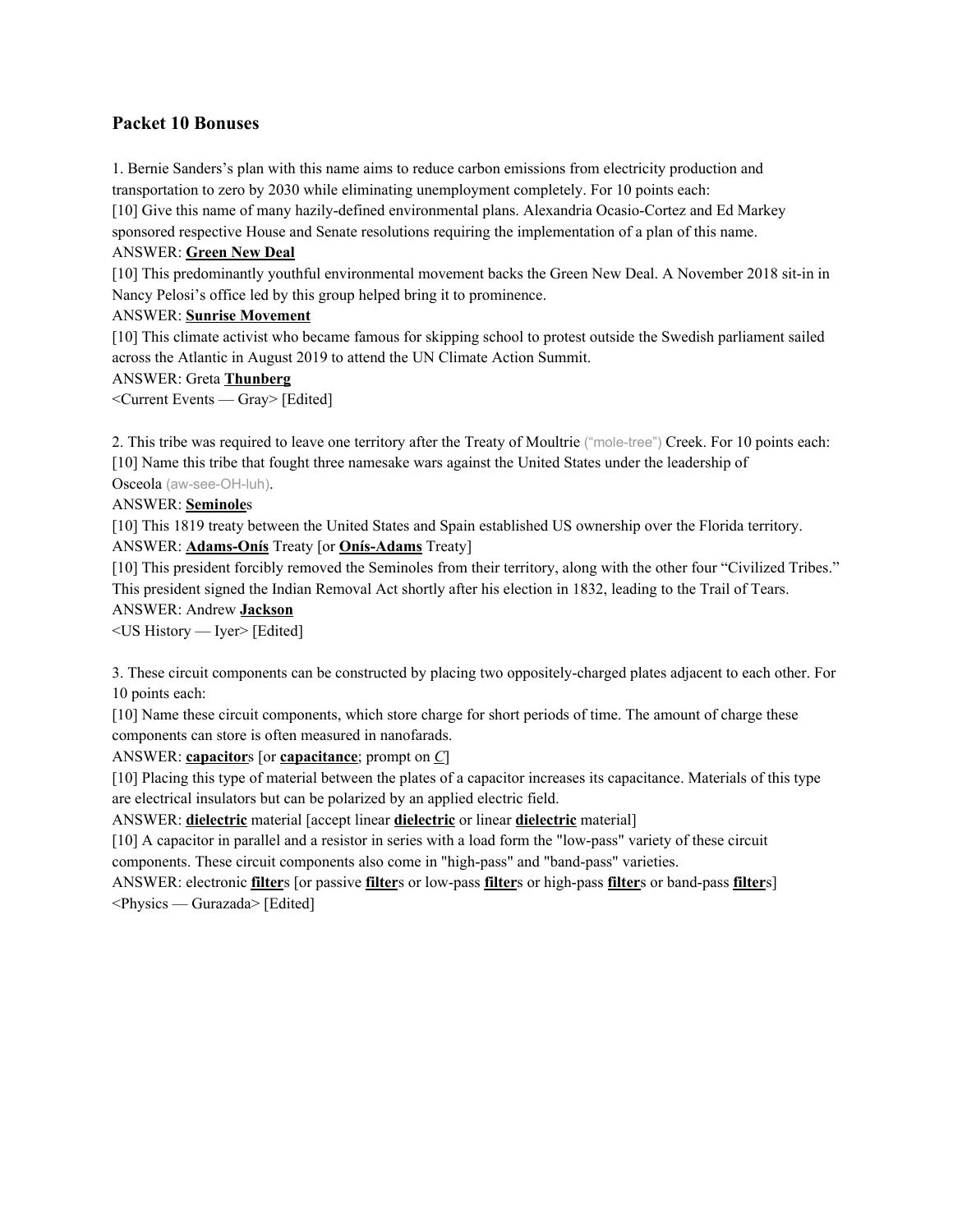# **Packet 10 Bonuses**

1. Bernie Sanders's plan with this name aims to reduce carbon emissions from electricity production and transportation to zero by 2030 while eliminating unemployment completely. For 10 points each:

[10] Give this name of many hazily-defined environmental plans. Alexandria Ocasio-Cortez and Ed Markey sponsored respective House and Senate resolutions requiring the implementation of a plan of this name.

### ANSWER: **Green New Deal**

[10] This predominantly youthful environmental movement backs the Green New Deal. A November 2018 sit-in in Nancy Pelosi's office led by this group helped bring it to prominence.

# ANSWER: **Sunrise Movement**

[10] This climate activist who became famous for skipping school to protest outside the Swedish parliament sailed across the Atlantic in August 2019 to attend the UN Climate Action Summit.

# ANSWER: Greta **Thunberg**

<Current Events — Gray> [Edited]

2. This tribe was required to leave one territory after the Treaty of Moultrie ("mole-tree") Creek. For 10 points each: [10] Name this tribe that fought three namesake wars against the United States under the leadership of

Osceola (aw-see-OH-luh).

# ANSWER: **Seminole**s

[10] This 1819 treaty between the United States and Spain established US ownership over the Florida territory. ANSWER: **Adams-Onís** Treaty [or **Onís-Adams** Treaty]

[10] This president forcibly removed the Seminoles from their territory, along with the other four "Civilized Tribes." This president signed the Indian Removal Act shortly after his election in 1832, leading to the Trail of Tears.

#### ANSWER: Andrew **Jackson**

<US History — Iyer> [Edited]

3. These circuit components can be constructed by placing two oppositely-charged plates adjacent to each other. For 10 points each:

[10] Name these circuit components, which store charge for short periods of time. The amount of charge these components can store is often measured in nanofarads.

ANSWER: **capacitor**s [or **capacitance**; prompt on *C*]

[10] Placing this type of material between the plates of a capacitor increases its capacitance. Materials of this type are electrical insulators but can be polarized by an applied electric field.

ANSWER: **dielectric** material [accept linear **dielectric** or linear **dielectric** material]

[10] A capacitor in parallel and a resistor in series with a load form the "low-pass" variety of these circuit components. These circuit components also come in "high-pass" and "band-pass" varieties.

ANSWER: electronic **filter**s [or passive **filter**s or low-pass **filter**s or high-pass **filter**s or band-pass **filter**s] <Physics — Gurazada> [Edited]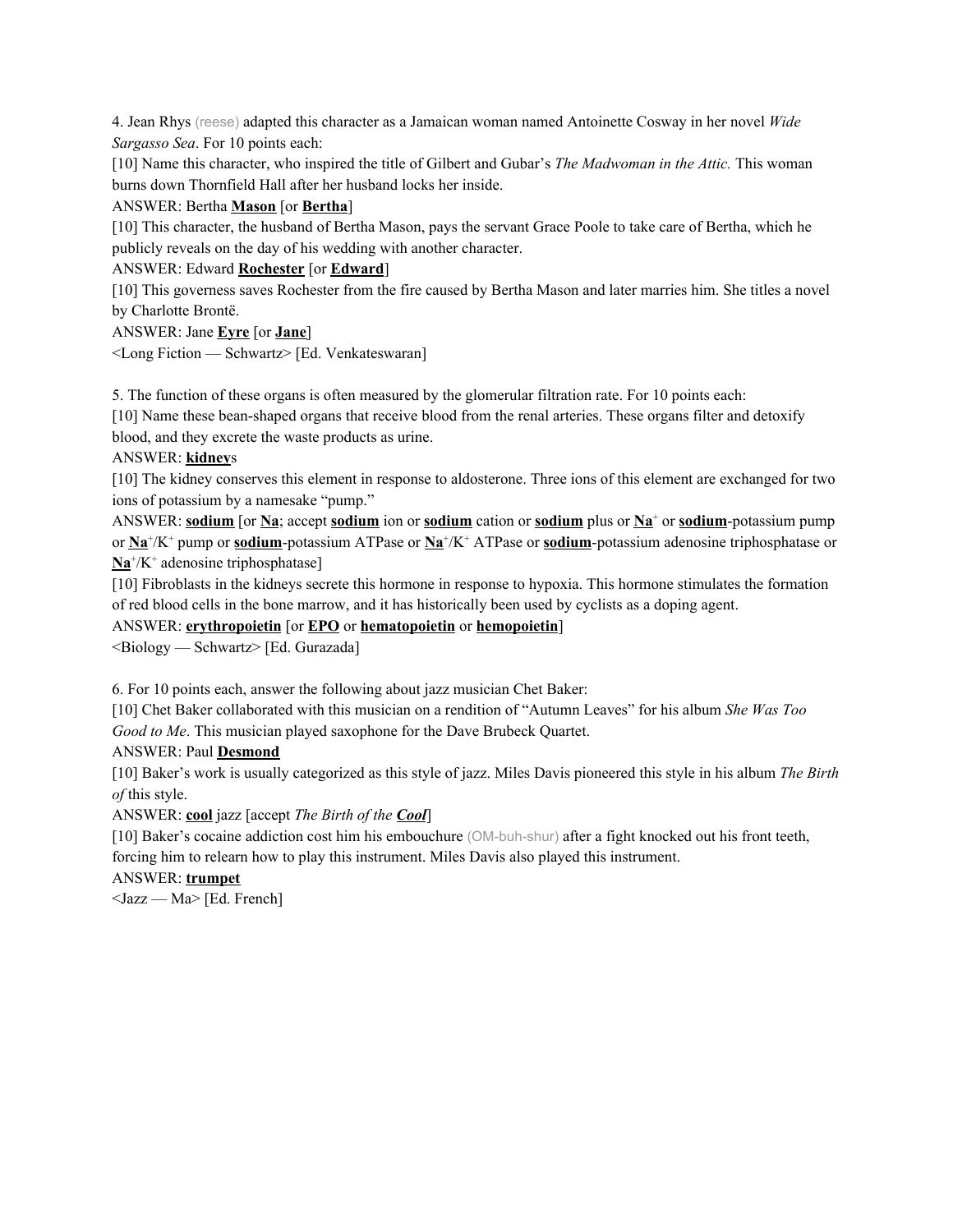4. Jean Rhys (reese) adapted this character as a Jamaican woman named Antoinette Cosway in her novel *Wide Sargasso Sea*. For 10 points each:

[10] Name this character, who inspired the title of Gilbert and Gubar's *The Madwoman in the Attic.* This woman burns down Thornfield Hall after her husband locks her inside.

# ANSWER: Bertha **Mason** [or **Bertha**]

[10] This character, the husband of Bertha Mason, pays the servant Grace Poole to take care of Bertha, which he publicly reveals on the day of his wedding with another character.

# ANSWER: Edward **Rochester** [or **Edward**]

[10] This governess saves Rochester from the fire caused by Bertha Mason and later marries him. She titles a novel by Charlotte Brontë.

# ANSWER: Jane **Eyre** [or **Jane**]

<Long Fiction — Schwartz> [Ed. Venkateswaran]

5. The function of these organs is often measured by the glomerular filtration rate. For 10 points each:

[10] Name these bean-shaped organs that receive blood from the renal arteries. These organs filter and detoxify

blood, and they excrete the waste products as urine.

# ANSWER: **kidney**s

[10] The kidney conserves this element in response to aldosterone. Three ions of this element are exchanged for two ions of potassium by a namesake "pump."

ANSWER: **sodium** [or **Na**; accept **sodium** ion or **sodium** cation or **sodium** plus or **Na** <sup>+</sup> or **sodium**-potassium pump or  $\underline{\text{Na}}^+/\text{K}^+$  pump or **sodium**-potassium ATPase or  $\underline{\text{Na}}^+/\text{K}^+$  ATPase or **sodium**-potassium adenosine triphosphatase or Na<sup>+</sup>/K<sup>+</sup> adenosine triphosphatase]

[10] Fibroblasts in the kidneys secrete this hormone in response to hypoxia. This hormone stimulates the formation of red blood cells in the bone marrow, and it has historically been used by cyclists as a doping agent.

# ANSWER: **erythropoietin** [or **EPO** or **hematopoietin** or **hemopoietin**]

<Biology — Schwartz> [Ed. Gurazada]

6. For 10 points each, answer the following about jazz musician Chet Baker:

[10] Chet Baker collaborated with this musician on a rendition of "Autumn Leaves" for his album *She Was Too Good to Me*. This musician played saxophone for the Dave Brubeck Quartet.

# ANSWER: Paul **Desmond**

[10] Baker's work is usually categorized as this style of jazz. Miles Davis pioneered this style in his album *The Birth of* this style.

ANSWER: **cool** jazz [accept *The Birth of the Cool*]

[10] Baker's cocaine addiction cost him his embouchure (OM-buh-shur) after a fight knocked out his front teeth, forcing him to relearn how to play this instrument. Miles Davis also played this instrument.

# ANSWER: **trumpet**

<Jazz — Ma> [Ed. French]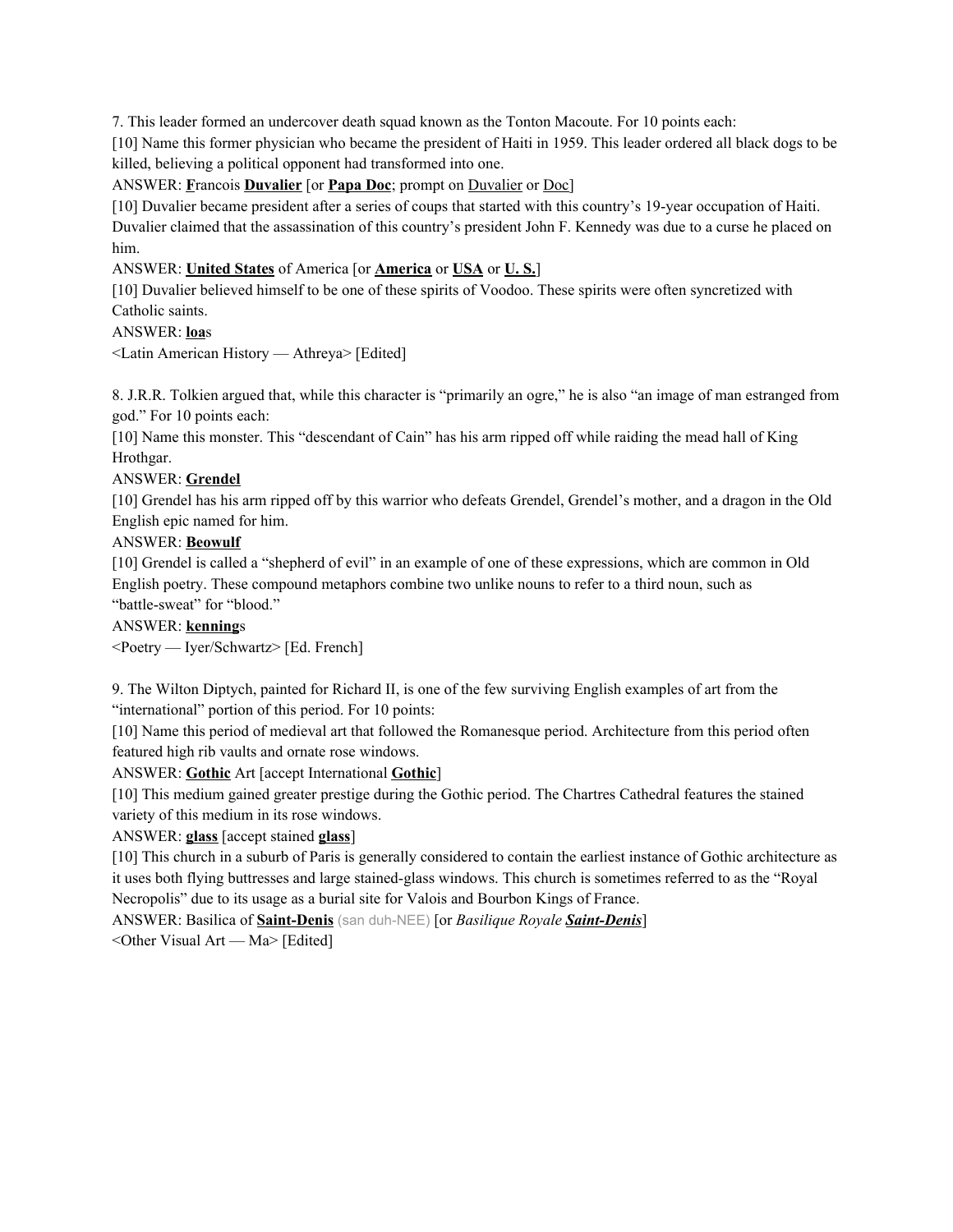7. This leader formed an undercover death squad known as the Tonton Macoute. For 10 points each:

[10] Name this former physician who became the president of Haiti in 1959. This leader ordered all black dogs to be killed, believing a political opponent had transformed into one.

ANSWER: **F**rancois **Duvalier** [or **Papa Doc**; prompt on Duvalier or Doc]

[10] Duvalier became president after a series of coups that started with this country's 19-year occupation of Haiti. Duvalier claimed that the assassination of this country's president John F. Kennedy was due to a curse he placed on him.

# ANSWER: **United States** of America [or **America** or **USA** or **U. S.**]

[10] Duvalier believed himself to be one of these spirits of Voodoo. These spirits were often syncretized with Catholic saints.

# ANSWER: **loa**s

<Latin American History — Athreya> [Edited]

8. J.R.R. Tolkien argued that, while this character is "primarily an ogre," he is also "an image of man estranged from god." For 10 points each:

[10] Name this monster. This "descendant of Cain" has his arm ripped off while raiding the mead hall of King Hrothgar.

# ANSWER: **Grendel**

[10] Grendel has his arm ripped off by this warrior who defeats Grendel, Grendel's mother, and a dragon in the Old English epic named for him.

# ANSWER: **Beowulf**

[10] Grendel is called a "shepherd of evil" in an example of one of these expressions, which are common in Old English poetry. These compound metaphors combine two unlike nouns to refer to a third noun, such as "battle-sweat" for "blood."

# ANSWER: **kenning**s

<Poetry — Iyer/Schwartz> [Ed. French]

9. The Wilton Diptych, painted for Richard II, is one of the few surviving English examples of art from the "international" portion of this period. For 10 points:

[10] Name this period of medieval art that followed the Romanesque period. Architecture from this period often featured high rib vaults and ornate rose windows.

ANSWER: **Gothic** Art [accept International **Gothic**]

[10] This medium gained greater prestige during the Gothic period. The Chartres Cathedral features the stained variety of this medium in its rose windows.

# ANSWER: **glass** [accept stained **glass**]

[10] This church in a suburb of Paris is generally considered to contain the earliest instance of Gothic architecture as it uses both flying buttresses and large stained-glass windows. This church is sometimes referred to as the "Royal Necropolis" due to its usage as a burial site for Valois and Bourbon Kings of France.

ANSWER: Basilica of **Saint-Denis** (san duh-NEE) [or *Basilique Royale Saint-Denis*]

<Other Visual Art — Ma> [Edited]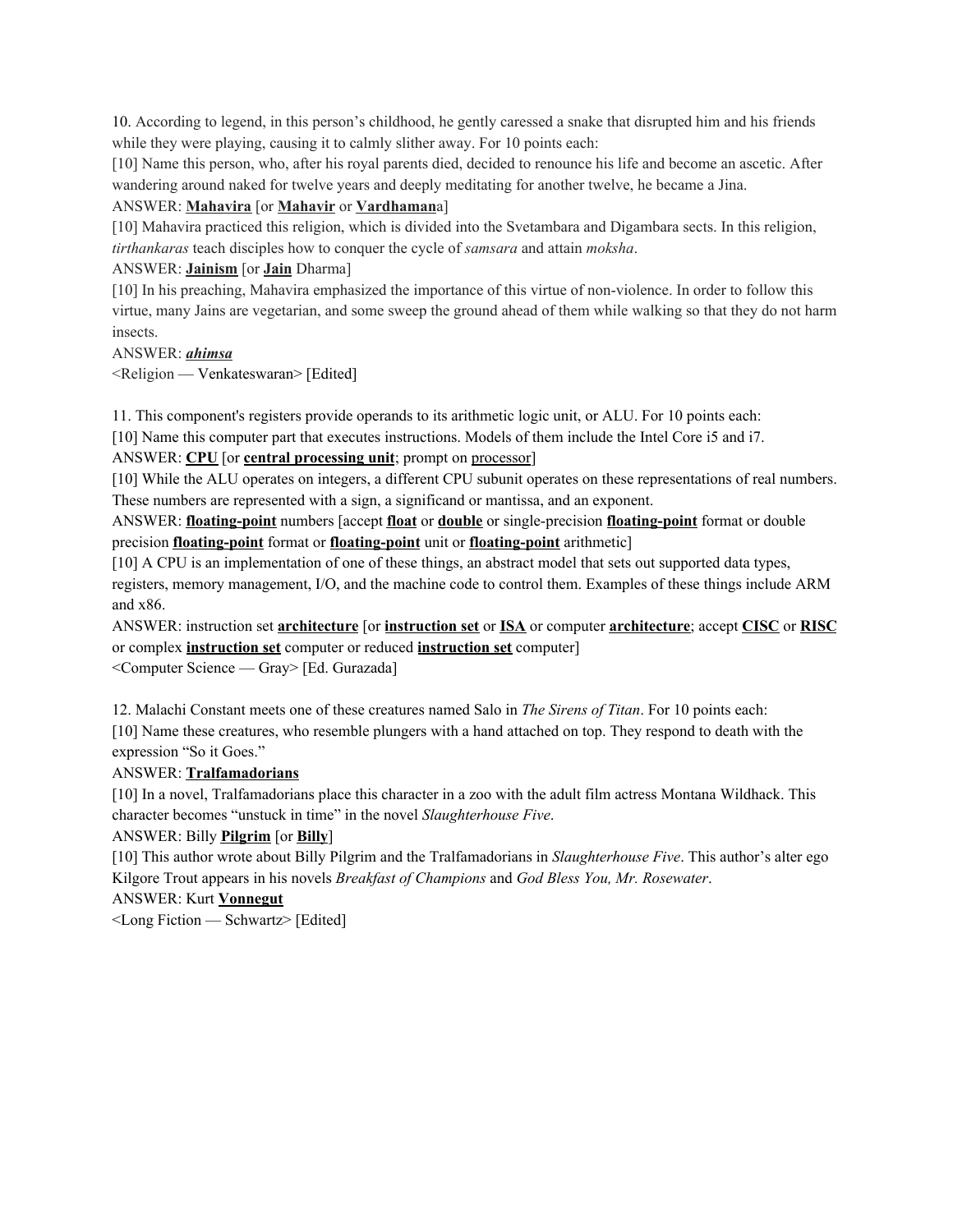10. According to legend, in this person's childhood, he gently caressed a snake that disrupted him and his friends while they were playing, causing it to calmly slither away. For 10 points each:

[10] Name this person, who, after his royal parents died, decided to renounce his life and become an ascetic. After wandering around naked for twelve years and deeply meditating for another twelve, he became a Jina.

### ANSWER: **Mahavira** [or **Mahavir** or **Vardhaman**a]

[10] Mahavira practiced this religion, which is divided into the Svetambara and Digambara sects. In this religion, *tirthankaras* teach disciples how to conquer the cycle of *samsara* and attain *moksha*.

#### ANSWER: **Jainism** [or **Jain** Dharma]

[10] In his preaching, Mahavira emphasized the importance of this virtue of non-violence. In order to follow this virtue, many Jains are vegetarian, and some sweep the ground ahead of them while walking so that they do not harm insects.

#### ANSWER: *ahimsa*

<Religion — Venkateswaran> [Edited]

11. This component's registers provide operands to its arithmetic logic unit, or ALU. For 10 points each: [10] Name this computer part that executes instructions. Models of them include the Intel Core i5 and i7.

#### ANSWER: **CPU** [or **central processing unit**; prompt on processor]

[10] While the ALU operates on integers, a different CPU subunit operates on these representations of real numbers. These numbers are represented with a sign, a significand or mantissa, and an exponent.

ANSWER: **floating-point** numbers [accept **float** or **double** or single-precision **floating-point** format or double precision **floating-point** format or **floating-point** unit or **floating-point** arithmetic]

[10] A CPU is an implementation of one of these things, an abstract model that sets out supported data types, registers, memory management, I/O, and the machine code to control them. Examples of these things include ARM and x86.

ANSWER: instruction set **architecture** [or **instruction set** or **ISA** or computer **architecture**; accept **CISC** or **RISC** or complex **instruction set** computer or reduced **instruction set** computer] <Computer Science — Gray> [Ed. Gurazada]

12. Malachi Constant meets one of these creatures named Salo in *The Sirens of Titan*. For 10 points each:

[10] Name these creatures, who resemble plungers with a hand attached on top. They respond to death with the expression "So it Goes."

# ANSWER: **Tralfamadorians**

[10] In a novel, Tralfamadorians place this character in a zoo with the adult film actress Montana Wildhack. This character becomes "unstuck in time" in the novel *Slaughterhouse Five*.

# ANSWER: Billy **Pilgrim** [or **Billy**]

[10] This author wrote about Billy Pilgrim and the Tralfamadorians in *Slaughterhouse Five*. This author's alter ego Kilgore Trout appears in his novels *Breakfast of Champions* and *God Bless You, Mr. Rosewater*.

ANSWER: Kurt **Vonnegut**

<Long Fiction — Schwartz> [Edited]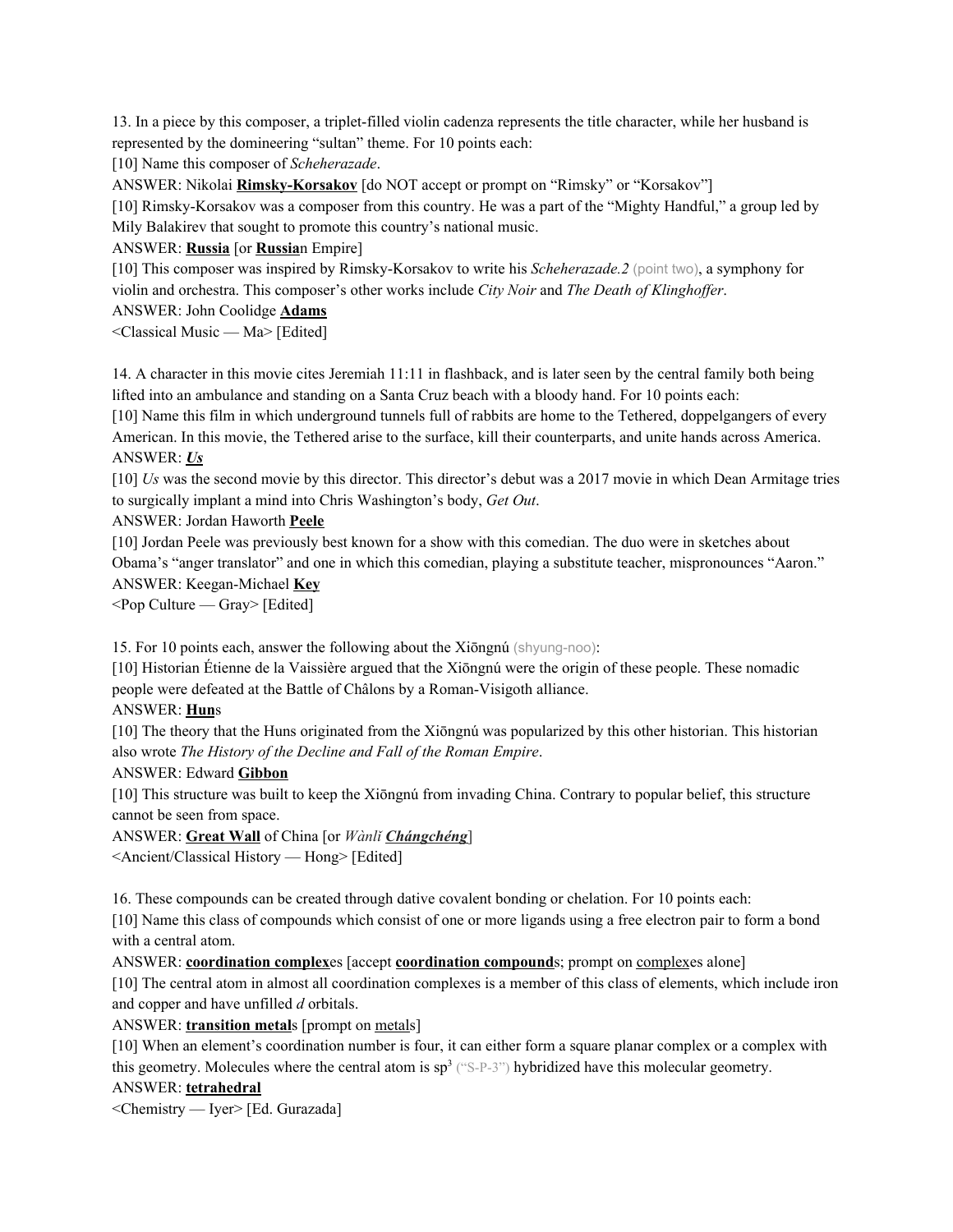13. In a piece by this composer, a triplet-filled violin cadenza represents the title character, while her husband is represented by the domineering "sultan" theme. For 10 points each:

[10] Name this composer of *Scheherazade*.

ANSWER: Nikolai **Rimsky-Korsakov** [do NOT accept or prompt on "Rimsky" or "Korsakov"]

[10] Rimsky-Korsakov was a composer from this country. He was a part of the "Mighty Handful," a group led by Mily Balakirev that sought to promote this country's national music.

ANSWER: **Russia** [or **Russia**n Empire]

[10] This composer was inspired by Rimsky-Korsakov to write his *Scheherazade.2* (point two), a symphony for violin and orchestra. This composer's other works include *City Noir* and *The Death of Klinghof er*.

ANSWER: John Coolidge **Adams**

<Classical Music — Ma> [Edited]

14. A character in this movie cites Jeremiah 11:11 in flashback, and is later seen by the central family both being lifted into an ambulance and standing on a Santa Cruz beach with a bloody hand. For 10 points each:

[10] Name this film in which underground tunnels full of rabbits are home to the Tethered, doppelgangers of every American. In this movie, the Tethered arise to the surface, kill their counterparts, and unite hands across America. ANSWER: *Us*

[10] *Us* was the second movie by this director. This director's debut was a 2017 movie in which Dean Armitage tries to surgically implant a mind into Chris Washington's body, *Get Out*.

ANSWER: Jordan Haworth **Peele**

[10] Jordan Peele was previously best known for a show with this comedian. The duo were in sketches about Obama's "anger translator" and one in which this comedian, playing a substitute teacher, mispronounces "Aaron." ANSWER: Keegan-Michael **Key**

 $\leq$  Pop Culture — Gray> [Edited]

15. For 10 points each, answer the following about the Xiōngnú (shyung-noo):

[10] Historian Étienne de la Vaissière argued that the Xiōngnú were the origin of these people. These nomadic people were defeated at the Battle of Châlons by a Roman-Visigoth alliance.

# ANSWER: **Hun**s

[10] The theory that the Huns originated from the Xiōngnú was popularized by this other historian. This historian also wrote *The History of the Decline and Fall of the Roman Empire*.

ANSWER: Edward **Gibbon**

[10] This structure was built to keep the Xiōngnú from invading China. Contrary to popular belief, this structure cannot be seen from space.

ANSWER: **Great Wall** of China [or *Wànlǐ Chángchéng*]

<Ancient/Classical History — Hong> [Edited]

16. These compounds can be created through dative covalent bonding or chelation. For 10 points each:

[10] Name this class of compounds which consist of one or more ligands using a free electron pair to form a bond with a central atom.

ANSWER: **coordination complex**es [accept **coordination compound**s; prompt on complexes alone]

[10] The central atom in almost all coordination complexes is a member of this class of elements, which include iron and copper and have unfilled *d* orbitals.

ANSWER: **transition metal**s [prompt on metals]

[10] When an element's coordination number is four, it can either form a square planar complex or a complex with this geometry. Molecules where the central atom is  $sp^3$  ("S-P-3") hybridized have this molecular geometry.

ANSWER: **tetrahedral**

<Chemistry — Iyer> [Ed. Gurazada]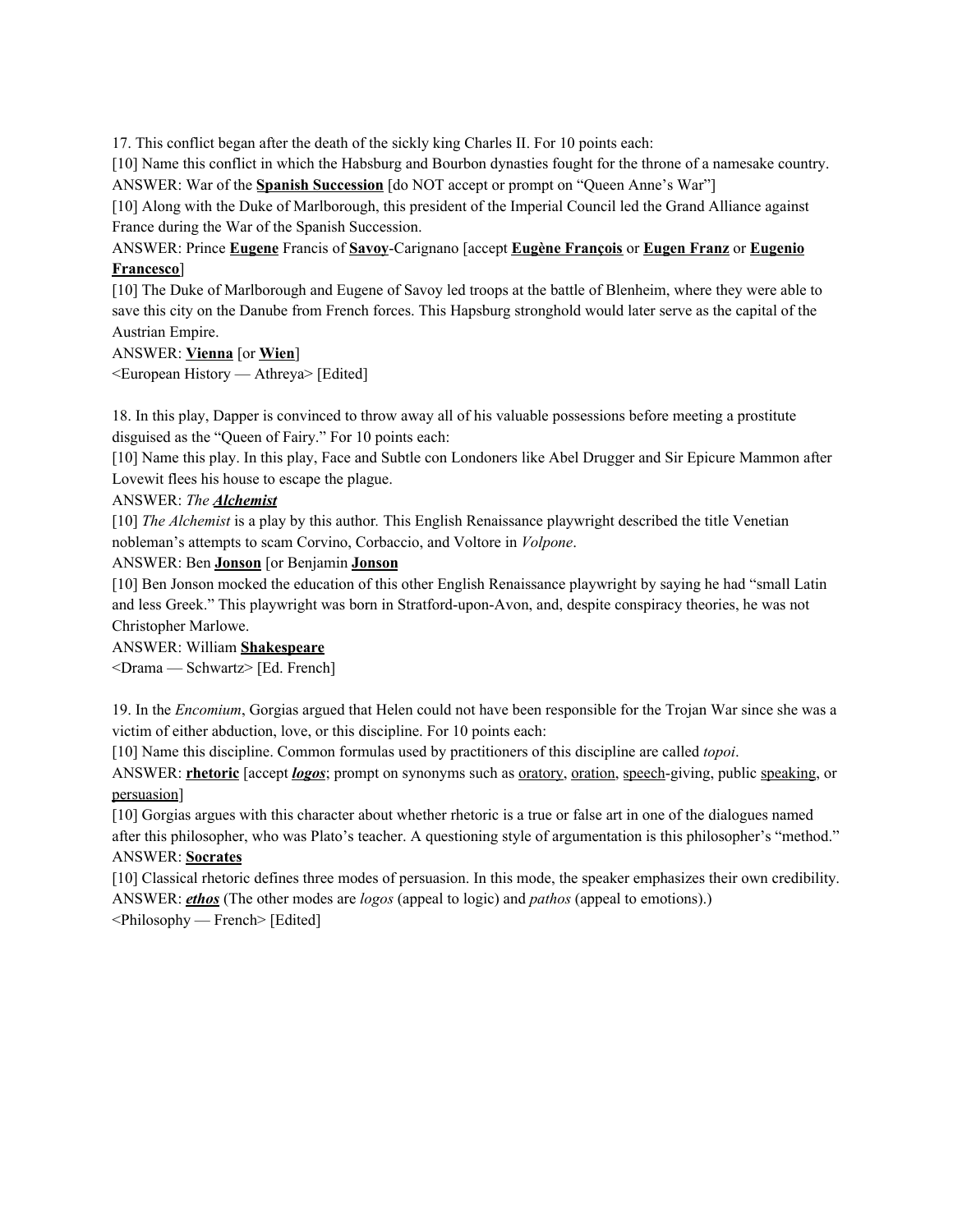17. This conflict began after the death of the sickly king Charles II. For 10 points each:

[10] Name this conflict in which the Habsburg and Bourbon dynasties fought for the throne of a namesake country. ANSWER: War of the **Spanish Succession** [do NOT accept or prompt on "Queen Anne's War"]

[10] Along with the Duke of Marlborough, this president of the Imperial Council led the Grand Alliance against France during the War of the Spanish Succession.

ANSWER: Prince **Eugene** Francis of **Savoy**-Carignano [accept **Eugène François** or **Eugen Franz** or **Eugenio Francesco**]

[10] The Duke of Marlborough and Eugene of Savoy led troops at the battle of Blenheim, where they were able to save this city on the Danube from French forces. This Hapsburg stronghold would later serve as the capital of the Austrian Empire.

# ANSWER: **Vienna** [or **Wien**]

<European History — Athreya> [Edited]

18. In this play, Dapper is convinced to throw away all of his valuable possessions before meeting a prostitute disguised as the "Queen of Fairy." For 10 points each:

[10] Name this play. In this play, Face and Subtle con Londoners like Abel Drugger and Sir Epicure Mammon after Lovewit flees his house to escape the plague.

# ANSWER: *The Alchemist*

[10] *The Alchemist* is a play by this author*.* This English Renaissance playwright described the title Venetian nobleman's attempts to scam Corvino, Corbaccio, and Voltore in *Volpone*.

#### ANSWER: Ben **Jonson** [or Benjamin **Jonson**

[10] Ben Jonson mocked the education of this other English Renaissance playwright by saying he had "small Latin and less Greek." This playwright was born in Stratford-upon-Avon, and, despite conspiracy theories, he was not Christopher Marlowe.

ANSWER: William **Shakespeare** <Drama — Schwartz> [Ed. French]

19. In the *Encomium*, Gorgias argued that Helen could not have been responsible for the Trojan War since she was a victim of either abduction, love, or this discipline. For 10 points each:

[10] Name this discipline. Common formulas used by practitioners of this discipline are called *topoi*.

ANSWER: **rhetoric** [accept *logos*; prompt on synonyms such as oratory, oration, speech-giving, public speaking, or persuasion]

[10] Gorgias argues with this character about whether rhetoric is a true or false art in one of the dialogues named after this philosopher, who was Plato's teacher. A questioning style of argumentation is this philosopher's "method."

# ANSWER: **Socrates**

[10] Classical rhetoric defines three modes of persuasion. In this mode, the speaker emphasizes their own credibility. ANSWER: *ethos* (The other modes are *logos* (appeal to logic) and *pathos* (appeal to emotions).)

<Philosophy — French> [Edited]